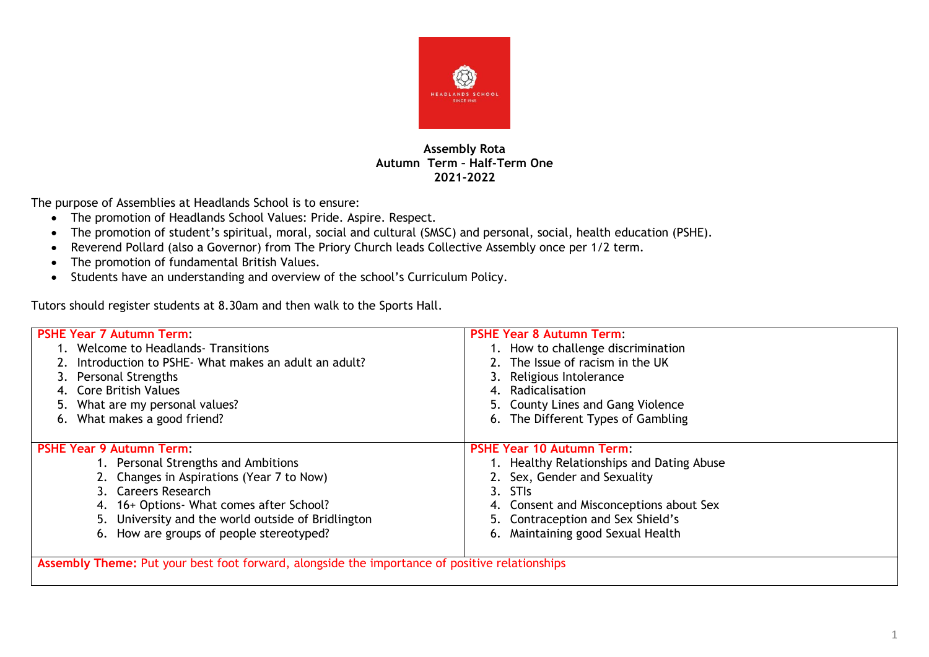

## **Assembly Rota Autumn Term – Half-Term One 2021-2022**

The purpose of Assemblies at Headlands School is to ensure:

- The promotion of Headlands School Values: Pride. Aspire. Respect.
- The promotion of student's spiritual, moral, social and cultural (SMSC) and personal, social, health education (PSHE).
- Reverend Pollard (also a Governor) from The Priory Church leads Collective Assembly once per 1/2 term.
- The promotion of fundamental British Values.
- Students have an understanding and overview of the school's Curriculum Policy.

Tutors should register students at 8.30am and then walk to the Sports Hall.

| <b>PSHE Year 7 Autumn Term:</b>                     | <b>PSHE Year 8 Autumn Term:</b>           |  |  |  |  |  |
|-----------------------------------------------------|-------------------------------------------|--|--|--|--|--|
| 1. Welcome to Headlands - Transitions               | 1. How to challenge discrimination        |  |  |  |  |  |
| Introduction to PSHE- What makes an adult an adult? | 2. The Issue of racism in the UK          |  |  |  |  |  |
| 3. Personal Strengths                               | 3. Religious Intolerance                  |  |  |  |  |  |
| Core British Values                                 | 4. Radicalisation                         |  |  |  |  |  |
| 5. What are my personal values?                     | 5. County Lines and Gang Violence         |  |  |  |  |  |
| 6. What makes a good friend?                        | 6. The Different Types of Gambling        |  |  |  |  |  |
|                                                     |                                           |  |  |  |  |  |
| <b>PSHE Year 9 Autumn Term:</b>                     | <b>PSHE Year 10 Autumn Term:</b>          |  |  |  |  |  |
| 1. Personal Strengths and Ambitions                 | 1. Healthy Relationships and Dating Abuse |  |  |  |  |  |
| 2. Changes in Aspirations (Year 7 to Now)           | 2. Sex, Gender and Sexuality              |  |  |  |  |  |
| 3. Careers Research                                 | 3. STIS                                   |  |  |  |  |  |
| 4. 16+ Options- What comes after School?            | 4. Consent and Misconceptions about Sex   |  |  |  |  |  |
| 5. University and the world outside of Bridlington  | 5. Contraception and Sex Shield's         |  |  |  |  |  |
| 6. How are groups of people stereotyped?            | 6. Maintaining good Sexual Health         |  |  |  |  |  |
|                                                     |                                           |  |  |  |  |  |

**Assembly Theme:** Put your best foot forward, alongside the importance of positive relationships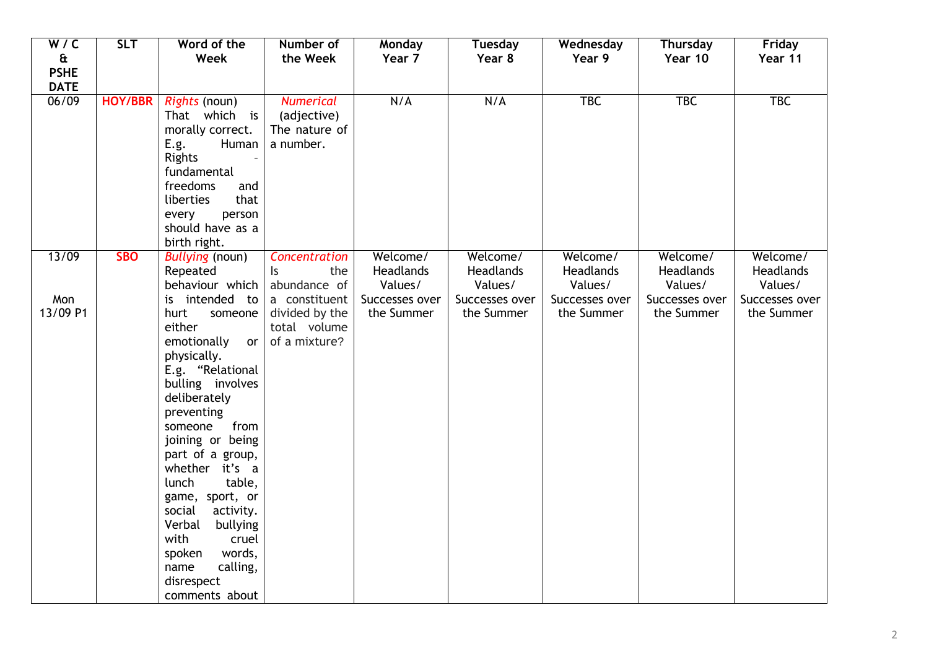| W/C          | <b>SLT</b>     | Word of the                 | Number of                             | Monday               | <b>Tuesday</b>       | Wednesday            | <b>Thursday</b>      | Friday                      |
|--------------|----------------|-----------------------------|---------------------------------------|----------------------|----------------------|----------------------|----------------------|-----------------------------|
| $\mathbf{a}$ |                | Week                        | the Week                              | Year 7               | Year 8               | Year 9               | Year 10              | Year 11                     |
| <b>PSHE</b>  |                |                             |                                       |                      |                      |                      |                      |                             |
| <b>DATE</b>  |                |                             |                                       |                      |                      |                      |                      |                             |
| 06/09        | <b>HOY/BBR</b> | <i>Rights</i> (noun)        | <b>Numerical</b>                      | N/A                  | N/A                  | <b>TBC</b>           | <b>TBC</b>           | <b>TBC</b>                  |
|              |                | That which is               | (adjective)                           |                      |                      |                      |                      |                             |
|              |                | morally correct.            | The nature of                         |                      |                      |                      |                      |                             |
|              |                | Human<br>E.g.               | a number.                             |                      |                      |                      |                      |                             |
|              |                | <b>Rights</b>               |                                       |                      |                      |                      |                      |                             |
|              |                | fundamental                 |                                       |                      |                      |                      |                      |                             |
|              |                | freedoms<br>and             |                                       |                      |                      |                      |                      |                             |
|              |                | liberties<br>that           |                                       |                      |                      |                      |                      |                             |
|              |                | every<br>person             |                                       |                      |                      |                      |                      |                             |
|              |                | should have as a            |                                       |                      |                      |                      |                      |                             |
|              |                | birth right.                |                                       |                      |                      |                      |                      |                             |
| 13/09        | <b>SBO</b>     | <b>Bullying (noun)</b>      | Concentration                         | Welcome/             | Welcome/             | Welcome/             | Welcome/             | Welcome/                    |
|              |                | Repeated<br>behaviour which | the<br>$\mathsf{I}$ s<br>abundance of | Headlands<br>Values/ | Headlands<br>Values/ | Headlands<br>Values/ | Headlands<br>Values/ | <b>Headlands</b><br>Values/ |
| Mon          |                | is intended to              | a constituent                         | Successes over       | Successes over       | Successes over       | Successes over       | Successes over              |
| 13/09 P1     |                | hurt                        |                                       | the Summer           | the Summer           | the Summer           | the Summer           | the Summer                  |
|              |                | someone<br>either           | divided by the<br>total volume        |                      |                      |                      |                      |                             |
|              |                | emotionally<br><b>or</b>    | of a mixture?                         |                      |                      |                      |                      |                             |
|              |                | physically.                 |                                       |                      |                      |                      |                      |                             |
|              |                | E.g. "Relational            |                                       |                      |                      |                      |                      |                             |
|              |                | bulling involves            |                                       |                      |                      |                      |                      |                             |
|              |                | deliberately                |                                       |                      |                      |                      |                      |                             |
|              |                | preventing                  |                                       |                      |                      |                      |                      |                             |
|              |                | from<br>someone             |                                       |                      |                      |                      |                      |                             |
|              |                | joining or being            |                                       |                      |                      |                      |                      |                             |
|              |                | part of a group,            |                                       |                      |                      |                      |                      |                             |
|              |                | whether it's a              |                                       |                      |                      |                      |                      |                             |
|              |                | table,<br>lunch             |                                       |                      |                      |                      |                      |                             |
|              |                | game, sport, or             |                                       |                      |                      |                      |                      |                             |
|              |                | activity.<br>social         |                                       |                      |                      |                      |                      |                             |
|              |                | Verbal<br>bullying          |                                       |                      |                      |                      |                      |                             |
|              |                | with<br>cruel               |                                       |                      |                      |                      |                      |                             |
|              |                | spoken<br>words,            |                                       |                      |                      |                      |                      |                             |
|              |                | calling,<br>name            |                                       |                      |                      |                      |                      |                             |
|              |                | disrespect                  |                                       |                      |                      |                      |                      |                             |
|              |                | comments about              |                                       |                      |                      |                      |                      |                             |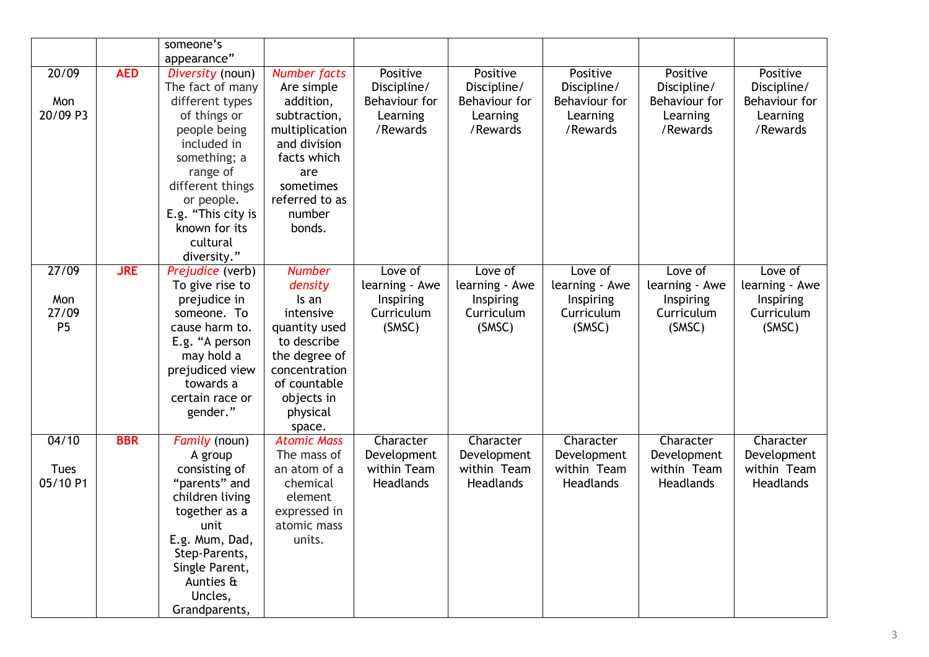|                                         |            | someone's                                                                                                                                                                                                                                             |                                                                                                                                                                           |                                                                  |                                                                  |                                                                  |                                                                  |                                                                  |
|-----------------------------------------|------------|-------------------------------------------------------------------------------------------------------------------------------------------------------------------------------------------------------------------------------------------------------|---------------------------------------------------------------------------------------------------------------------------------------------------------------------------|------------------------------------------------------------------|------------------------------------------------------------------|------------------------------------------------------------------|------------------------------------------------------------------|------------------------------------------------------------------|
| 20/09<br>Mon<br>20/09 P3                | <b>AED</b> | appearance"<br>Diversity (noun)<br>The fact of many<br>different types<br>of things or<br>people being<br>included in<br>something; a<br>range of<br>different things<br>or people.<br>E.g. "This city is<br>known for its<br>cultural<br>diversity." | <b>Number facts</b><br>Are simple<br>addition,<br>subtraction,<br>multiplication<br>and division<br>facts which<br>are<br>sometimes<br>referred to as<br>number<br>bonds. | Positive<br>Discipline/<br>Behaviour for<br>Learning<br>/Rewards | Positive<br>Discipline/<br>Behaviour for<br>Learning<br>/Rewards | Positive<br>Discipline/<br>Behaviour for<br>Learning<br>/Rewards | Positive<br>Discipline/<br>Behaviour for<br>Learning<br>/Rewards | Positive<br>Discipline/<br>Behaviour for<br>Learning<br>/Rewards |
| 27/09<br>Mon<br>27/09<br>P <sub>5</sub> | <b>JRE</b> | Prejudice (verb)<br>To give rise to<br>prejudice in<br>someone. To<br>cause harm to.<br>E.g. "A person<br>may hold a<br>prejudiced view<br>towards a<br>certain race or<br>gender."                                                                   | <b>Number</b><br>density<br>Is an<br>intensive<br>quantity used<br>to describe<br>the degree of<br>concentration<br>of countable<br>objects in<br>physical<br>space.      | Love of<br>learning - Awe<br>Inspiring<br>Curriculum<br>(SMSC)   | Love of<br>learning - Awe<br>Inspiring<br>Curriculum<br>(SMSC)   | Love of<br>learning - Awe<br>Inspiring<br>Curriculum<br>(SMSC)   | Love of<br>learning - Awe<br>Inspiring<br>Curriculum<br>(SMSC)   | Love of<br>learning - Awe<br>Inspiring<br>Curriculum<br>(SMSC)   |
| 04/10<br>Tues<br>05/10 P1               | <b>BBR</b> | Family (noun)<br>A group<br>consisting of<br>"parents" and<br>children living<br>together as a<br>unit<br>E.g. Mum, Dad,<br>Step-Parents,<br>Single Parent,<br>Aunties &<br>Uncles,<br>Grandparents,                                                  | <b>Atomic Mass</b><br>The mass of<br>an atom of a<br>chemical<br>element<br>expressed in<br>atomic mass<br>units.                                                         | Character<br>Development<br>within Team<br>Headlands             | Character<br>Development<br>within Team<br><b>Headlands</b>      | Character<br>Development<br>within Team<br>Headlands             | Character<br>Development<br>within Team<br>Headlands             | Character<br>Development<br>within Team<br><b>Headlands</b>      |